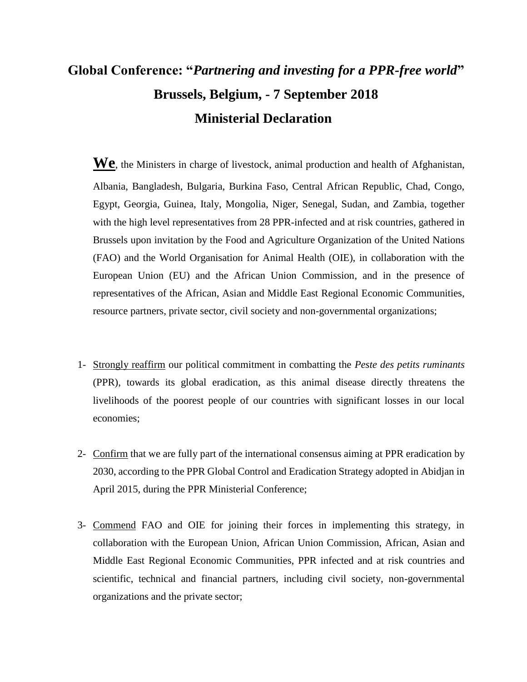## **Global Conference: "***Partnering and investing for a PPR-free world***" Brussels, Belgium, - 7 September 2018 Ministerial Declaration**

**We**, the Ministers in charge of livestock, animal production and health of Afghanistan, Albania, Bangladesh, Bulgaria, Burkina Faso, Central African Republic, Chad, Congo, Egypt, Georgia, Guinea, Italy, Mongolia, Niger, Senegal, Sudan, and Zambia, together with the high level representatives from 28 PPR-infected and at risk countries, gathered in Brussels upon invitation by the Food and Agriculture Organization of the United Nations (FAO) and the World Organisation for Animal Health (OIE), in collaboration with the European Union (EU) and the African Union Commission, and in the presence of representatives of the African, Asian and Middle East Regional Economic Communities, resource partners, private sector, civil society and non-governmental organizations;

- 1- Strongly reaffirm our political commitment in combatting the *Peste des petits ruminants* (PPR), towards its global eradication, as this animal disease directly threatens the livelihoods of the poorest people of our countries with significant losses in our local economies;
- 2- Confirm that we are fully part of the international consensus aiming at PPR eradication by 2030, according to the PPR Global Control and Eradication Strategy adopted in Abidjan in April 2015, during the PPR Ministerial Conference;
- 3- Commend FAO and OIE for joining their forces in implementing this strategy, in collaboration with the European Union, African Union Commission, African, Asian and Middle East Regional Economic Communities, PPR infected and at risk countries and scientific, technical and financial partners, including civil society, non-governmental organizations and the private sector;